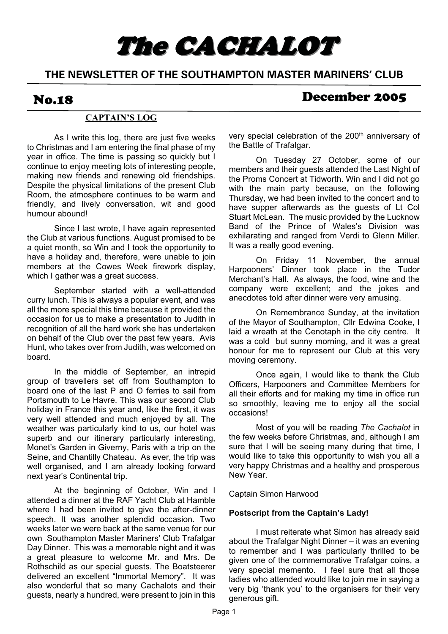# The CACHALOT

### **THE NEWSLETTER OF THE SOUTHAMPTON MASTER MARINERS' CLUB**

### No.18 December 2005

### **CAPTAIN'S LOG**

 As I write this log, there are just five weeks to Christmas and I am entering the final phase of my year in office. The time is passing so quickly but I continue to enjoy meeting lots of interesting people, making new friends and renewing old friendships. Despite the physical limitations of the present Club Room, the atmosphere continues to be warm and friendly, and lively conversation, wit and good humour abound!

 Since I last wrote, I have again represented the Club at various functions. August promised to be a quiet month, so Win and I took the opportunity to have a holiday and, therefore, were unable to join members at the Cowes Week firework display, which I gather was a great success.

 September started with a well-attended curry lunch. This is always a popular event, and was all the more special this time because it provided the occasion for us to make a presentation to Judith in recognition of all the hard work she has undertaken on behalf of the Club over the past few years. Avis Hunt, who takes over from Judith, was welcomed on board.

 In the middle of September, an intrepid group of travellers set off from Southampton to board one of the last P and O ferries to sail from Portsmouth to Le Havre. This was our second Club holiday in France this year and, like the first, it was very well attended and much enjoyed by all. The weather was particularly kind to us, our hotel was superb and our itinerary particularly interesting, Monet's Garden in Giverny, Paris with a trip on the Seine, and Chantilly Chateau. As ever, the trip was well organised, and I am already looking forward next year's Continental trip.

 At the beginning of October, Win and I attended a dinner at the RAF Yacht Club at Hamble where I had been invited to give the after-dinner speech. It was another splendid occasion. Two weeks later we were back at the same venue for our own Southampton Master Mariners' Club Trafalgar Day Dinner. This was a memorable night and it was a great pleasure to welcome Mr. and Mrs. De Rothschild as our special guests. The Boatsteerer delivered an excellent "Immortal Memory". It was also wonderful that so many Cachalots and their guests, nearly a hundred, were present to join in this

very special celebration of the 200<sup>th</sup> anniversary of the Battle of Trafalgar.

 On Tuesday 27 October, some of our members and their guests attended the Last Night of the Proms Concert at Tidworth. Win and I did not go with the main party because, on the following Thursday, we had been invited to the concert and to have supper afterwards as the guests of Lt Col Stuart McLean. The music provided by the Lucknow Band of the Prince of Wales's Division was exhilarating and ranged from Verdi to Glenn Miller. It was a really good evening.

 On Friday 11 November, the annual Harpooners' Dinner took place in the Tudor Merchant's Hall. As always, the food, wine and the company were excellent; and the jokes and anecdotes told after dinner were very amusing.

 On Remembrance Sunday, at the invitation of the Mayor of Southampton, Cllr Edwina Cooke, I laid a wreath at the Cenotaph in the city centre. It was a cold but sunny morning, and it was a great honour for me to represent our Club at this very moving ceremony.

 Once again, I would like to thank the Club Officers, Harpooners and Committee Members for all their efforts and for making my time in office run so smoothly, leaving me to enjoy all the social occasions!

 Most of you will be reading *The Cachalot* in the few weeks before Christmas, and, although I am sure that I will be seeing many during that time, I would like to take this opportunity to wish you all a very happy Christmas and a healthy and prosperous New Year.

#### Captain Simon Harwood

#### **Postscript from the Captain's Lady!**

 I must reiterate what Simon has already said about the Trafalgar Night Dinner – it was an evening to remember and I was particularly thrilled to be given one of the commemorative Trafalgar coins, a very special memento. I feel sure that all those ladies who attended would like to join me in saying a very big 'thank you' to the organisers for their very generous gift.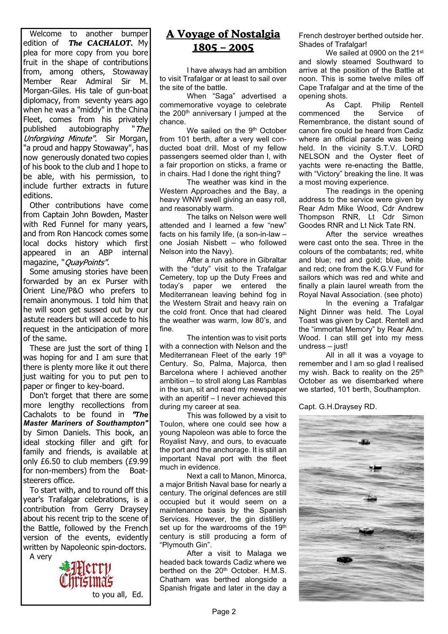Welcome to another bumper edition of *The CACHALOT.* My plea for more copy from you bore fruit in the shape of contributions from, among others, Stowaway Member Rear Admiral Sir M. Morgan-Giles. His tale of gun-boat diplomacy, from seventy years ago when he was a "middy" in the China Fleet, comes from his privately published autobiography "The Unforgiving Minute", Sir Morgan, "a proud and happy Stowaway", has now generously donated two copies of his book to the club and I hope to be able, with his permission, to include further extracts in future editions.

Other contributions have come from Captain John Bowden, Master with Red Funnel for many years, and from Ron Hancock comes some local docks history which first appeared in an ABP internal magazine, "QuayPoints".

Some amusing stories have been forwarded by an ex Purser with Orient Line/P&O who prefers to remain anonymous. I told him that he will soon get sussed out by our astute readers but will accede to his request in the anticipation of more of the same.

These are just the sort of thing I was hoping for and I am sure that there is plenty more like it out there just waiting for you to put pen to paper or finger to key-board.

Don't forget that there are some more lengthy recollections from Cachalots to be found in *The Master Mariners of Southampton"* by Simon Daniels. This book, an ideal stocking filler and gift for family and friends, is available at only £6.50 to club members (£9.99 for non-members) from the Boatsteerers office.

To start with, and to round off this year's Trafalgar celebrations, is a contribution from Gerry Draysey about his recent trip to the scene of the Battle, followed by the French version of the events, evidently written by Napoleonic spin-doctors. A very



### **A Voyage of Nostalgia 1805 – 2005**

 I have always had an ambition to visit Trafalgar or at least to sail over the site of the battle.

 When "Saga" advertised a commemorative voyage to celebrate the  $200<sup>th</sup>$  anniversary I jumped at the chance.

We sailed on the 9<sup>th</sup> October from 101 berth, after a very well conducted boat drill. Most of my fellow passengers seemed older than I, with a fair proportion on sticks, a frame or in chairs. Had I done the right thing?

 The weather was kind in the Western Approaches and the Bay, a heavy WNW swell giving an easy roll, and reasonably warm.

 The talks on Nelson were well attended and I learned a few "new" facts on his family life, (a son-in-law – one Josiah Nisbett – who followed Nelson into the Navy).

 After a run ashore in Gibraltar with the "duty" visit to the Trafalgar Cemetery, top up the Duty Frees and today's paper we entered the Mediterranean leaving behind fog in the Western Strait and heavy rain on the cold front. Once that had cleared the weather was warm, low 80's, and fine.

 The intention was to visit ports with a connection with Nelson and the Mediterranean Fleet of the early 19th Century. So, Palma, Majorca, then Barcelona where I achieved another ambition – to stroll along Las Ramblas in the sun, sit and read my newspaper with an aperitif - I never achieved this during my career at sea.

 This was followed by a visit to Toulon, where one could see how a young Napoleon was able to force the Royalist Navy, and ours, to evacuate the port and the anchorage. It is still an important Naval port with the fleet much in evidence.

 Next a call to Manon, Minorca, a major British Naval base for nearly a century. The original defences are still occupied but it would seem on a maintenance basis by the Spanish Services. However, the gin distillery set up for the wardrooms of the 19th century is still producing a form of "Plymouth Gin".

 After a visit to Malaga we headed back towards Cadiz where we berthed on the 20<sup>th</sup> October. H.M.S. Chatham was berthed alongside a Spanish frigate and later in the day a

French destroyer berthed outside her. Shades of Trafalgar!

We sailed at 0900 on the 21<sup>st</sup> and slowly steamed Southward to arrive at the position of the Battle at noon. This is some twelve miles off Cape Trafalgar and at the time of the opening shots.

 As Capt. Philip Rentell commenced the Service of Remembrance, the distant sound of canon fire could be heard from Cadiz where an official parade was being held. In the vicinity S.T.V. LORD NELSON and the Oyster fleet of yachts were re-enacting the Battle, with "Victory" breaking the line. It was a most moving experience.

 The readings in the opening address to the service were given by Rear Adm Mike Wood, Cdr Andrew Thompson RNR, Lt Cdr Simon Goodes RNR and Lt Nick Tate RN.

 After the service wreathes were cast onto the sea. Three in the colours of the combatants; red, white and blue; red and gold; blue, white and red; one from the K.G.V Fund for sailors which was red and white and finally a plain laurel wreath from the Royal Naval Association. (see photo)

 In the evening a Trafalgar Night Dinner was held. The Loyal Toast was given by Capt. Rentell and the "immortal Memory" by Rear Adm. Wood. I can still get into my mess undress – just!

 All in all it was a voyage to remember and I am so glad I realised my wish. Back to reality on the 25<sup>th</sup> October as we disembarked where we started, 101 berth, Southampton.

Capt. G.H.Draysey RD.

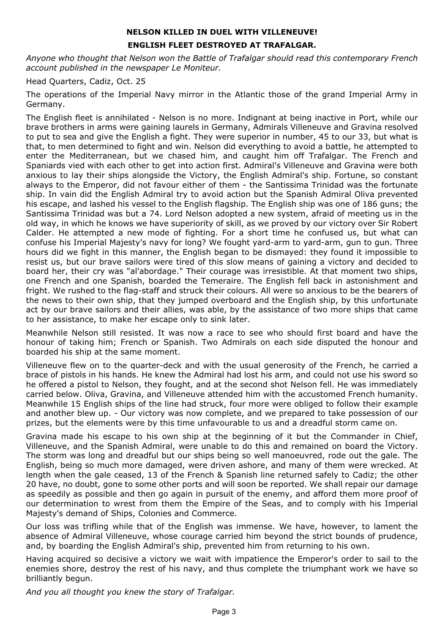#### **NELSON KILLED IN DUEL WITH VILLENEUVE! ENGLISH FLEET DESTROYED AT TRAFALGAR.**

*Anyone who thought that Nelson won the Battle of Trafalgar should read this contemporary French account published in the newspaper Le Moniteur.*

Head Quarters, Cadiz, Oct. 25

The operations of the Imperial Navy mirror in the Atlantic those of the grand Imperial Army in Germany.

The English fleet is annihilated - Nelson is no more. Indignant at being inactive in Port, while our brave brothers in arms were gaining laurels in Germany, Admirals Villeneuve and Gravina resolved to put to sea and give the English a fight. They were superior in number, 45 to our 33, but what is that, to men determined to fight and win. Nelson did everything to avoid a battle, he attempted to enter the Mediterranean, but we chased him, and caught him off Trafalgar. The French and Spaniards vied with each other to get into action first. Admiral's Villeneuve and Gravina were both anxious to lay their ships alongside the Victory, the English Admiral's ship. Fortune, so constant always to the Emperor, did not favour either of them - the Santissima Trinidad was the fortunate ship. In vain did the English Admiral try to avoid action but the Spanish Admiral Oliva prevented his escape, and lashed his vessel to the English flagship. The English ship was one of 186 guns; the Santissima Trinidad was but a 74. Lord Nelson adopted a new system, afraid of meeting us in the old way, in which he knows we have superiority of skill, as we proved by our victory over Sir Robert Calder. He attempted a new mode of fighting. For a short time he confused us, but what can confuse his Imperial Majesty's navy for long? We fought yard-arm to yard-arm, gun to gun. Three hours did we fight in this manner, the English began to be dismayed: they found it impossible to resist us, but our brave sailors were tired of this slow means of gaining a victory and decided to board her, their cry was "al'abordage." Their courage was irresistible. At that moment two ships, one French and one Spanish, boarded the Temeraire. The English fell back in astonishment and fright. We rushed to the flag-staff and struck their colours. All were so anxious to be the bearers of the news to their own ship, that they jumped overboard and the English ship, by this unfortunate act by our brave sailors and their allies, was able, by the assistance of two more ships that came to her assistance, to make her escape only to sink later.

Meanwhile Nelson still resisted. It was now a race to see who should first board and have the honour of taking him; French or Spanish. Two Admirals on each side disputed the honour and boarded his ship at the same moment.

Villeneuve flew on to the quarter-deck and with the usual generosity of the French, he carried a brace of pistols in his hands. He knew the Admiral had lost his arm, and could not use his sword so he offered a pistol to Nelson, they fought, and at the second shot Nelson fell. He was immediately carried below. Oliva, Gravina, and Villeneuve attended him with the accustomed French humanity. Meanwhile 15 English ships of the line had struck, four more were obliged to follow their example and another blew up. - Our victory was now complete, and we prepared to take possession of our prizes, but the elements were by this time unfavourable to us and a dreadful storm came on.

Gravina made his escape to his own ship at the beginning of it but the Commander in Chief, Villeneuve, and the Spanish Admiral, were unable to do this and remained on board the Victory. The storm was long and dreadful but our ships being so well manoeuvred, rode out the gale. The English, being so much more damaged, were driven ashore, and many of them were wrecked. At length when the gale ceased, 13 of the French & Spanish line returned safely to Cadiz; the other 20 have, no doubt, gone to some other ports and will soon be reported. We shall repair our damage as speedily as possible and then go again in pursuit of the enemy, and afford them more proof of our determination to wrest from them the Empire of the Seas, and to comply with his Imperial Majesty's demand of Ships, Colonies and Commerce.

Our loss was trifling while that of the English was immense. We have, however, to lament the absence of Admiral Villeneuve, whose courage carried him beyond the strict bounds of prudence, and, by boarding the English Admiral's ship, prevented him from returning to his own.

Having acquired so decisive a victory we wait with impatience the Emperor's order to sail to the enemies shore, destroy the rest of his navy, and thus complete the triumphant work we have so brilliantly begun.

*And you all thought you knew the story of Trafalgar.*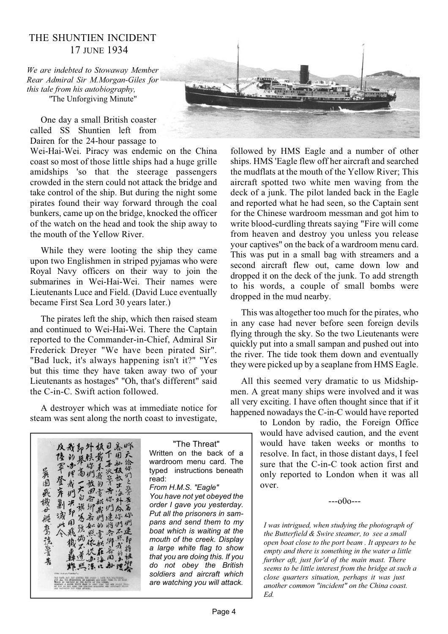#### THE SHUNTIEN INCIDENT 17 JUNE 1934

*We are indebted to Stowaway Member Rear Admiral Sir M.Morgan-Giles for this tale from his autobiography, "*The Unforgiving Minute"

One day a small British coaster called SS Shuntien left from Dairen for the 24-hour passage to

Wei-Hai-Wei. Piracy was endemic on the China coast so most of those little ships had a huge grille amidships 'so that the steerage passengers crowded in the stern could not attack the bridge and take control of the ship. But during the night some pirates found their way forward through the coal bunkers, came up on the bridge, knocked the officer of the watch on the head and took the ship away to the mouth of the Yellow River.

While they were looting the ship they came upon two Englishmen in striped pyjamas who were Royal Navy officers on their way to join the submarines in Wei-Hai-Wei. Their names were Lieutenants Luce and Field. (David Luce eventually became First Sea Lord 30 years later.)

The pirates left the ship, which then raised steam and continued to Wei-Hai-Wei. There the Captain reported to the Commander-in-Chief, Admiral Sir Frederick Dreyer "We have been pirated Sir". "Bad luck, it's always happening isn't it?" "Yes but this time they have taken away two of your Lieutenants as hostages" "Oh, that's different" said the C-in-C. Swift action followed.

A destroyer which was at immediate notice for steam was sent along the north coast to investigate,





followed by HMS Eagle and a number of other ships. HMS 'Eagle flew off her aircraft and searched the mudflats at the mouth of the Yellow River; This aircraft spotted two white men waving from the deck of a junk. The pilot landed back in the Eagle and reported what he had seen, so the Captain sent for the Chinese wardroom messman and got him to write blood-curdling threats saying "Fire will come from heaven and destroy you unless you release your captives" on the back of a wardroom menu card. This was put in a small bag with streamers and a second aircraft flew out, came down low and dropped it on the deck of the junk. To add strength to his words, a couple of small bombs were dropped in the mud nearby.

This was altogether too much for the pirates, who in any case had never before seen foreign devils flying through the sky. So the two Lieutenants were quickly put into a small sampan and pushed out into the river. The tide took them down and eventually they were picked up by a seaplane from HMS Eagle.

All this seemed very dramatic to us Midshipmen. A great many ships were involved and it was all very exciting. I have often thought since that if it happened nowadays the C-in-C would have reported

> to London by radio, the Foreign Office would have advised caution, and the event would have taken weeks or months to resolve. In fact, in those distant days, I feel sure that the C-in-C took action first and only reported to London when it was all over.

> > $-000--$

*I was intrigued, when studying the photograph of the Butterfield & Swire steamer, to see a small open boat close to the port beam . It appears to be empty and there is something in the water a little further aft, just for'd of the main mast. There seems to be little interest from the bridge at such a close quarters situation, perhaps it was just another common "incident" on the China coast. Ed.*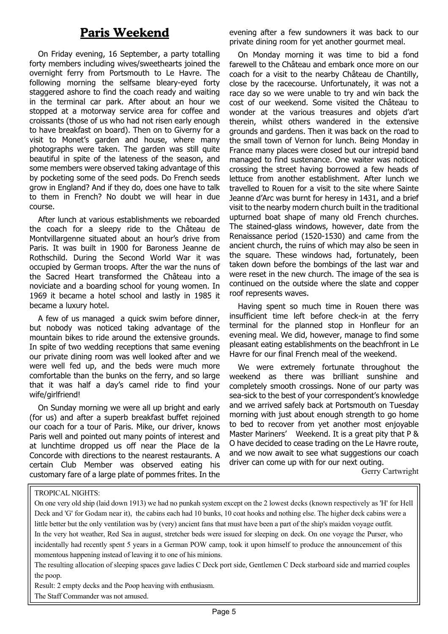### **Paris Weekend**

On Friday evening, 16 September, a party totalling forty members including wives/sweethearts joined the overnight ferry from Portsmouth to Le Havre. The following morning the selfsame bleary-eyed forty staggered ashore to find the coach ready and waiting in the terminal car park. After about an hour we stopped at a motorway service area for coffee and croissants (those of us who had not risen early enough to have breakfast on board). Then on to Giverny for a visit to Monet's garden and house, where many photographs were taken. The garden was still quite beautiful in spite of the lateness of the season, and some members were observed taking advantage of this by pocketing some of the seed pods. Do French seeds grow in England? And if they do, does one have to talk to them in French? No doubt we will hear in due course.

After lunch at various establishments we reboarded the coach for a sleepy ride to the Château de Montvillargenne situated about an hour's drive from Paris. It was built in 1900 for Baroness Jeanne de Rothschild. During the Second World War it was occupied by German troops. After the war the nuns of the Sacred Heart transformed the Château into a noviciate and a boarding school for young women. In 1969 it became a hotel school and lastly in 1985 it became a luxury hotel.

A few of us managed a quick swim before dinner, but nobody was noticed taking advantage of the mountain bikes to ride around the extensive grounds. In spite of two wedding receptions that same evening our private dining room was well looked after and we were well fed up, and the beds were much more comfortable than the bunks on the ferry, and so large that it was half a day's camel ride to find your wife/girlfriend!

On Sunday morning we were all up bright and early (for us) and after a superb breakfast buffet rejoined our coach for a tour of Paris. Mike, our driver, knows Paris well and pointed out many points of interest and at lunchtime dropped us off near the Place de la Concorde with directions to the nearest restaurants. A certain Club Member was observed eating his customary fare of a large plate of pommes frites. In the evening after a few sundowners it was back to our private dining room for yet another gourmet meal.

On Monday morning it was time to bid a fond farewell to the Château and embark once more on our coach for a visit to the nearby Château de Chantilly, close by the racecourse. Unfortunately, it was not a race day so we were unable to try and win back the cost of our weekend. Some visited the Château to wonder at the various treasures and objets d'art therein, whilst others wandered in the extensive grounds and gardens. Then it was back on the road to the small town of Vernon for lunch. Being Monday in France many places were closed but our intrepid band managed to find sustenance. One waiter was noticed crossing the street having borrowed a few heads of lettuce from another establishment. After lunch we travelled to Rouen for a visit to the site where Sainte Jeanne d'Arc was burnt for heresy in 1431, and a brief visit to the nearby modern church built in the traditional upturned boat shape of many old French churches. The stained-glass windows, however, date from the Renaissance period (1520-1530) and came from the ancient church, the ruins of which may also be seen in the square. These windows had, fortunately, been taken down before the bombings of the last war and were reset in the new church. The image of the sea is continued on the outside where the slate and copper roof represents waves.

Having spent so much time in Rouen there was insufficient time left before check-in at the ferry terminal for the planned stop in Honfleur for an evening meal. We did, however, manage to find some pleasant eating establishments on the beachfront in Le Havre for our final French meal of the weekend.

We were extremely fortunate throughout the weekend as there was brilliant sunshine and completely smooth crossings. None of our party was sea-sick to the best of your correspondent's knowledge and we arrived safely back at Portsmouth on Tuesday morning with just about enough strength to go home to bed to recover from yet another most enjoyable Master Mariners' Weekend. It is a great pity that P & O have decided to cease trading on the Le Havre route, and we now await to see what suggestions our coach driver can come up with for our next outing.

Gerry Cartwright

#### TROPICAL NIGHTS:

On one very old ship (laid down 1913) we had no punkah system except on the 2 lowest decks (known respectively as 'H' for Hell Deck and 'G' for Godam near it), the cabins each had 10 bunks, 10 coat hooks and nothing else. The higher deck cabins were a little better but the only ventilation was by (very) ancient fans that must have been a part of the ship's maiden voyage outfit. In the very hot weather, Red Sea in august, stretcher beds were issued for sleeping on deck. On one voyage the Purser, who incidentally had recently spent 5 years in a German POW camp, took it upon himself to produce the announcement of this momentous happening instead of leaving it to one of his minions.

The resulting allocation of sleeping spaces gave ladies C Deck port side, Gentlemen C Deck starboard side and married couples the poop.

Result: 2 empty decks and the Poop heaving with enthusiasm. The Staff Commander was not amused.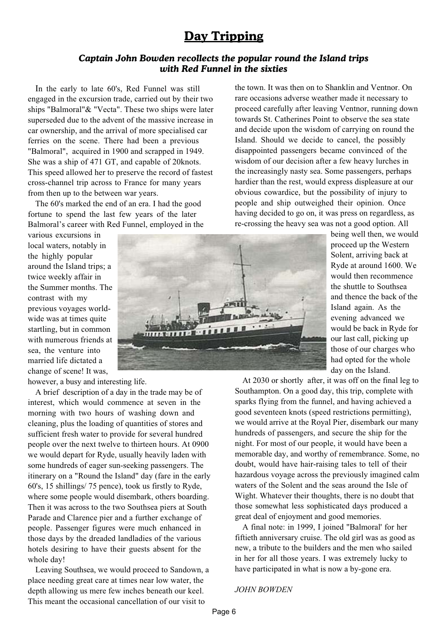### **Day Tripping**

#### *Captain John Bowden recollects the popular round the Island trips with Red Funnel in the sixties*

In the early to late 60's, Red Funnel was still engaged in the excursion trade, carried out by their two ships "Balmoral"& "Vecta". These two ships were later superseded due to the advent of the massive increase in car ownership, and the arrival of more specialised car ferries on the scene. There had been a previous "Balmoral", acquired in 1900 and scrapped in 1949. She was a ship of 471 GT, and capable of 20knots. This speed allowed her to preserve the record of fastest cross-channel trip across to France for many years from then up to the between war years.

The 60's marked the end of an era. I had the good fortune to spend the last few years of the later Balmoral's career with Red Funnel, employed in the

various excursions in local waters, notably in the highly popular around the Island trips; a twice weekly affair in the Summer months. The contrast with my previous voyages worldwide was at times quite startling, but in common with numerous friends at sea, the venture into married life dictated a change of scene! It was,

however, a busy and interesting life.

A brief description of a day in the trade may be of interest, which would commence at seven in the morning with two hours of washing down and cleaning, plus the loading of quantities of stores and sufficient fresh water to provide for several hundred people over the next twelve to thirteen hours. At 0900 we would depart for Ryde, usually heavily laden with some hundreds of eager sun-seeking passengers. The itinerary on a "Round the Island" day (fare in the early 60's, 15 shillings/ 75 pence), took us firstly to Ryde, where some people would disembark, others boarding. Then it was across to the two Southsea piers at South Parade and Clarence pier and a further exchange of people. Passenger figures were much enhanced in those days by the dreaded landladies of the various hotels desiring to have their guests absent for the whole day!

Leaving Southsea, we would proceed to Sandown, a place needing great care at times near low water, the depth allowing us mere few inches beneath our keel. This meant the occasional cancellation of our visit to

the town. It was then on to Shanklin and Ventnor. On rare occasions adverse weather made it necessary to proceed carefully after leaving Ventnor, running down towards St. Catherines Point to observe the sea state and decide upon the wisdom of carrying on round the Island. Should we decide to cancel, the possibly disappointed passengers became convinced of the wisdom of our decision after a few heavy lurches in the increasingly nasty sea. Some passengers, perhaps hardier than the rest, would express displeasure at our obvious cowardice, but the possibility of injury to people and ship outweighed their opinion. Once having decided to go on, it was press on regardless, as re-crossing the heavy sea was not a good option. All

> being well then, we would proceed up the Western Solent, arriving back at Ryde at around 1600. We would then recommence the shuttle to Southsea and thence the back of the Island again. As the evening advanced we would be back in Ryde for our last call, picking up those of our charges who had opted for the whole day on the Island.

At 2030 or shortly after, it was off on the final leg to Southampton. On a good day, this trip, complete with sparks flying from the funnel, and having achieved a good seventeen knots (speed restrictions permitting), we would arrive at the Royal Pier, disembark our many hundreds of passengers, and secure the ship for the night. For most of our people, it would have been a memorable day, and worthy of remembrance. Some, no doubt, would have hair-raising tales to tell of their hazardous voyage across the previously imagined calm waters of the Solent and the seas around the Isle of Wight. Whatever their thoughts, there is no doubt that those somewhat less sophisticated days produced a great deal of enjoyment and good memories.

A final note: in 1999, I joined "Balmoral' for her fiftieth anniversary cruise. The old girl was as good as new, a tribute to the builders and the men who sailed in her for all those years. I was extremely lucky to have participated in what is now a by-gone era.

#### *JOHN BOWDEN*

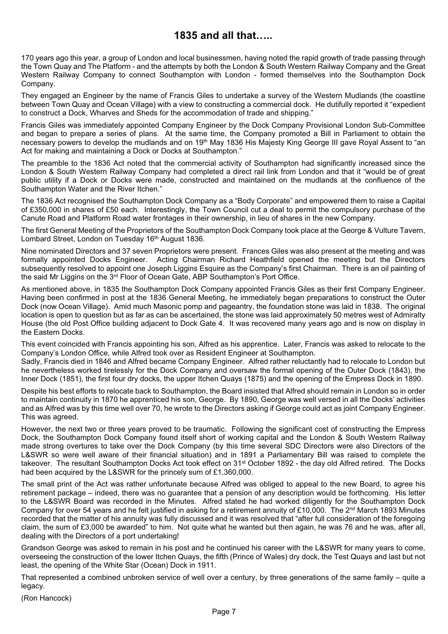### **1835 and all that…..**

170 years ago this year, a group of London and local businessmen, having noted the rapid growth of trade passing through the Town Quay and The Platform - and the attempts by both the London & South Western Railway Company and the Great Western Railway Company to connect Southampton with London - formed themselves into the Southampton Dock Company.

They engaged an Engineer by the name of Francis Giles to undertake a survey of the Western Mudlands (the coastline between Town Quay and Ocean Village) with a view to constructing a commercial dock. He dutifully reported it "expedient to construct a Dock, Wharves and Sheds for the accommodation of trade and shipping."

Francis Giles was immediately appointed Company Engineer by the Dock Company Provisional London Sub-Committee and began to prepare a series of plans. At the same time, the Company promoted a Bill in Parliament to obtain the necessary powers to develop the mudlands and on 19<sup>th</sup> May 1836 His Majesty King George III gave Royal Assent to "an Act for making and maintaining a Dock or Docks at Southampton."

The preamble to the 1836 Act noted that the commercial activity of Southampton had significantly increased since the London & South Western Railway Company had completed a direct rail link from London and that it "would be of great public utility if a Dock or Docks were made, constructed and maintained on the mudlands at the confluence of the Southampton Water and the River Itchen."

The 1836 Act recognised the Southampton Dock Company as a "Body Corporate" and empowered them to raise a Capital of £350,000 in shares of £50 each. Interestingly, the Town Council cut a deal to permit the compulsory purchase of the Canute Road and Platform Road water frontages in their ownership, in lieu of shares in the new Company.

The first General Meeting of the Proprietors of the Southampton Dock Company took place at the George & Vulture Tavern, Lombard Street, London on Tuesday 16<sup>th</sup> August 1836.

Nine nominated Directors and 37 seven Proprietors were present. Frances Giles was also present at the meeting and was formally appointed Docks Engineer. Acting Chairman Richard Heathfield opened the meeting but the Directors subsequently resolved to appoint one Joseph Liggins Esquire as the Company's first Chairman. There is an oil painting of the said Mr Liggins on the 3<sup>rd</sup> Floor of Ocean Gate, ABP Southampton's Port Office.

As mentioned above, in 1835 the Southampton Dock Company appointed Francis Giles as their first Company Engineer. Having been confirmed in post at the 1836 General Meeting, he immediately began preparations to construct the Outer Dock (now Ocean Village). Amid much Masonic pomp and pageantry, the foundation stone was laid in 1838. The original location is open to question but as far as can be ascertained, the stone was laid approximately 50 metres west of Admiralty House (the old Post Office building adjacent to Dock Gate 4. It was recovered many years ago and is now on display in the Eastern Docks.

This event coincided with Francis appointing his son, Alfred as his apprentice. Later, Francis was asked to relocate to the Company's London Office, while Alfred took over as Resident Engineer at Southampton.

Sadly, Francis died in 1846 and Alfred became Company Engineer. Alfred rather reluctantly had to relocate to London but he nevertheless worked tirelessly for the Dock Company and oversaw the formal opening of the Outer Dock (1843), the Inner Dock (1851), the first four dry docks, the upper Itchen Quays (1875) and the opening of the Empress Dock in 1890.

Despite his best efforts to relocate back to Southampton, the Board insisted that Alfred should remain in London so in order to maintain continuity in 1870 he apprenticed his son, George. By 1890, George was well versed in all the Docks' activities and as Alfred was by this time well over 70, he wrote to the Directors asking if George could act as joint Company Engineer. This was agreed.

However, the next two or three years proved to be traumatic. Following the significant cost of constructing the Empress Dock, the Southampton Dock Company found itself short of working capital and the London & South Western Railway made strong overtures to take over the Dock Company (by this time several SDC Directors were also Directors of the L&SWR so were well aware of their financial situation) and in 1891 a Parliamentary Bill was raised to complete the takeover. The resultant Southampton Docks Act took effect on 31<sup>st</sup> October 1892 - the day old Alfred retired. The Docks had been acquired by the L&SWR for the princely sum of £1,360,000.

The small print of the Act was rather unfortunate because Alfred was obliged to appeal to the new Board, to agree his retirement package – indeed, there was no guarantee that a pension of any description would be forthcoming. His letter to the L&SWR Board was recorded in the Minutes. Alfred stated he had worked diligently for the Southampton Dock Company for over 54 years and he felt justified in asking for a retirement annuity of £10,000. The  $2^{nd}$  March 1893 Minutes recorded that the matter of his annuity was fully discussed and it was resolved that "after full consideration of the foregoing claim, the sum of £3,000 be awarded" to him. Not quite what he wanted but then again, he was 76 and he was, after all, dealing with the Directors of a port undertaking!

Grandson George was asked to remain in his post and he continued his career with the L&SWR for many years to come, overseeing the construction of the lower Itchen Quays, the fifth (Prince of Wales) dry dock, the Test Quays and last but not least, the opening of the White Star (Ocean) Dock in 1911.

That represented a combined unbroken service of well over a century, by three generations of the same family – quite a legacy.

(Ron Hancock)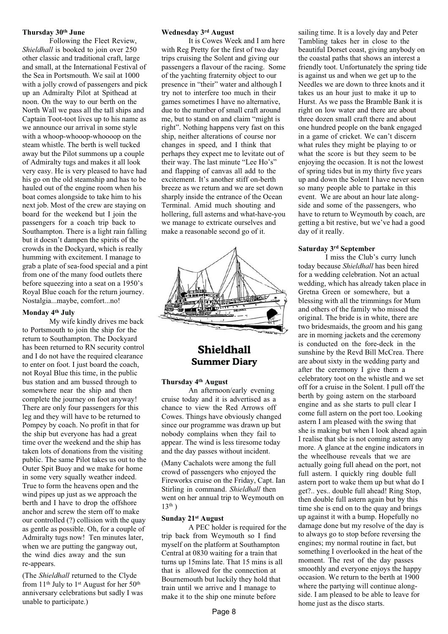#### **Thursday 30th June**

 Following the Fleet Review, *Shieldhall* is booked to join over 250 other classic and traditional craft, large and small, at the International Festival of the Sea in Portsmouth. We sail at 1000 with a jolly crowd of passengers and pick up an Admiralty Pilot at Spithead at noon. On the way to our berth on the North Wall we pass all the tall ships and Captain Toot-toot lives up to his name as we announce our arrival in some style with a whoop-whooop-whoooop on the steam whistle. The berth is well tucked away but the Pilot summons up a couple of Admiralty tugs and makes it all look very easy. He is very pleased to have had his go on the old steamship and has to be hauled out of the engine room when his boat comes alongside to take him to his next job. Most of the crew are staying on board for the weekend but I join the passengers for a coach trip back to Southampton. There is a light rain falling but it doesn't dampen the spirits of the crowds in the Dockyard, which is really humming with excitement. I manage to grab a plate of sea-food special and a pint from one of the many food outlets there before squeezing into a seat on a 1950's Royal Blue coach for the return journey. Nostalgia...maybe, comfort...no!

#### **Monday 4th July**

 My wife kindly drives me back to Portsmouth to join the ship for the return to Southampton. The Dockyard has been returned to RN security control and I do not have the required clearance to enter on foot. I just board the coach, not Royal Blue this time, in the public bus station and am bussed through to somewhere near the ship and then complete the journey on foot anyway! There are only four passengers for this leg and they will have to be returned to Pompey by coach. No profit in that for the ship but everyone has had a great time over the weekend and the ship has taken lots of donations from the visiting public. The same Pilot takes us out to the Outer Spit Buoy and we make for home in some very squally weather indeed. True to form the heavens open and the wind pipes up just as we approach the berth and I have to drop the offshore anchor and screw the stern off to make our controlled (?) collision with the quay as gentle as possible. Oh, for a couple of Admiralty tugs now! Ten minutes later, when we are putting the gangway out, the wind dies away and the sun re-appears.

(The *Shieldhall* returned to the Clyde from  $11<sup>th</sup>$  July to  $1<sup>st</sup>$  August for her  $50<sup>th</sup>$ anniversary celebrations but sadly I was unable to participate.)

#### **Wednesday 3rd August**

 It is Cowes Week and I am here with Reg Pretty for the first of two day trips cruising the Solent and giving our passengers a flavour of the racing. Some of the yachting fraternity object to our presence in "their" water and although I try not to interfere too much in their games sometimes I have no alternative, due to the number of small craft around me, but to stand on and claim "might is right". Nothing happens very fast on this ship, neither alterations of course nor changes in speed, and I think that perhaps they expect me to levitate out of their way. The last minute "Lee Ho's" and flapping of canvas all add to the excitement. It's another stiff on-berth breeze as we return and we are set down sharply inside the entrance of the Ocean Terminal. Amid much shouting and hollering, full asterns and what-have-you we manage to extricate ourselves and make a reasonable second go of it.



### **Shieldhall Summer Diary**

#### **Thursday 4th August**

 An afternoon/early evening cruise today and it is advertised as a chance to view the Red Arrows off Cowes. Things have obviously changed since our programme was drawn up but nobody complains when they fail to appear. The wind is less tiresome today and the day passes without incident.

(Many Cachalots were among the full crowd of passengers who enjoyed the Fireworks cruise on the Friday, Capt. Ian Stirling in command. *Shieldhall* then went on her annual trip to Weymouth on  $13<sup>th</sup>$ )

#### **Sunday 21st August**

 A PEC holder is required for the trip back from Weymouth so I find myself on the platform at Southampton Central at 0830 waiting for a train that turns up 15mins late. That 15 mins is all that is allowed for the connection at Bournemouth but luckily they hold that train until we arrive and I manage to make it to the ship one minute before

sailing time. It is a lovely day and Peter Tambling takes her in close to the beautiful Dorset coast, giving anybody on the coastal paths that shows an interest a friendly toot. Unfortunately the spring tide is against us and when we get up to the Needles we are down to three knots and it takes us an hour just to make it up to Hurst. As we pass the Bramble Bank it is right on low water and there are about three dozen small craft there and about one hundred people on the bank engaged in a game of cricket. We can't discern what rules they might be playing to or what the score is but they seem to be enjoying the occasion. It is not the lowest of spring tides but in my thirty five years up and down the Solent I have never seen so many people able to partake in this event. We are about an hour late alongside and some of the passengers, who have to return to Weymouth by coach, are getting a bit restive, but we've had a good day of it really.

#### **Saturday 3rd September**

 I miss the Club's curry lunch today because *Shieldhall* has been hired for a wedding celebration. Not an actual wedding, which has already taken place in Gretna Green or somewhere, but a blessing with all the trimmings for Mum and others of the family who missed the original. The bride is in white, there are two bridesmaids, the groom and his gang are in morning jackets and the ceremony is conducted on the fore-deck in the sunshine by the Revd Bill McCrea. There are about sixty in the wedding party and after the ceremony I give them a celebratory toot on the whistle and we set off for a cruise in the Solent. I pull off the berth by going astern on the starboard engine and as she starts to pull clear I come full astern on the port too. Looking astern I am pleased with the swing that she is making but when I look ahead again I realise that she is not coming astern any more. A glance at the engine indicators in the wheelhouse reveals that we are actually going full ahead on the port, not full astern. I quickly ring double full astern port to wake them up but what do I get?.. yes.. double full ahead! Ring Stop, then double full astern again but by this time she is end on to the quay and brings up against it with a bump. Hopefully no damage done but my resolve of the day is to always go to stop before reversing the engines; my normal routine in fact, but something I overlooked in the heat of the moment. The rest of the day passes smoothly and everyone enjoys the happy occasion. We return to the berth at 1900 where the partying will continue alongside. I am pleased to be able to leave for home just as the disco starts.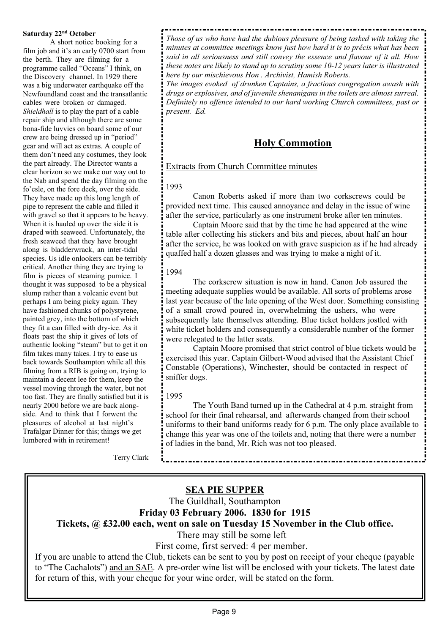#### **Saturday 22nd October**

 A short notice booking for a film job and it's an early 0700 start from the berth. They are filming for a programme called "Oceans" I think, on the Discovery channel. In 1929 there was a big underwater earthquake off the Newfoundland coast and the transatlantic cables were broken or damaged. *Shieldhall* is to play the part of a cable repair ship and although there are some bona-fide luvvies on board some of our crew are being dressed up in "period" gear and will act as extras. A couple of them don't need any costumes, they look the part already. The Director wants a clear horizon so we make our way out to the Nab and spend the day filming on the fo'csle, on the fore deck, over the side. They have made up this long length of pipe to represent the cable and filled it with gravel so that it appears to be heavy. When it is hauled up over the side it is draped with seaweed. Unfortunately, the fresh seaweed that they have brought along is bladderwrack, an inter-tidal species. Us idle onlookers can be terribly critical. Another thing they are trying to film is pieces of steaming pumice. I thought it was supposed to be a physical slump rather than a volcanic event but perhaps I am being picky again. They have fashioned chunks of polystyrene, painted grey, into the bottom of which they fit a can filled with dry-ice. As it floats past the ship it gives of lots of authentic looking "steam" but to get it on film takes many takes. I try to ease us back towards Southampton while all this filming from a RIB is going on, trying to maintain a decent lee for them, keep the vessel moving through the water, but not too fast. They are finally satisfied but it is nearly 2000 before we are back alongside. And to think that I forwent the pleasures of alcohol at last night's Trafalgar Dinner for this; things we get lumbered with in retirement!

*Those of us who have had the dubious pleasure of being tasked with taking the minutes at committee meetings know just how hard it is to précis what has been said in all seriousness and still convey the essence and flavour of it all. How these notes are likely to stand up to scrutiny some 10-12 years later is illustrated here by our mischievous Hon . Archivist, Hamish Roberts.*

*The images evoked of drunken Captains, a fractious congregation awash with drugs or explosives, and of juvenile shenanigans in the toilets are almost surreal. Definitely no offence intended to our hard working Church committees, past or present. Ed.*

### **Holy Commotion**

#### Extracts from Church Committee minutes

#### 1993

 Canon Roberts asked if more than two corkscrews could be provided next time. This caused annoyance and delay in the issue of wine after the service, particularly as one instrument broke after ten minutes.

 Captain Moore said that by the time he had appeared at the wine table after collecting his stickers and bits and pieces, about half an hour after the service, he was looked on with grave suspicion as if he had already quaffed half a dozen glasses and was trying to make a night of it.

#### 1994

 The corkscrew situation is now in hand. Canon Job assured the meeting adequate supplies would be available. All sorts of problems arose last year because of the late opening of the West door. Something consisting of a small crowd poured in, overwhelming the ushers, who were subsequently late themselves attending. Blue ticket holders jostled with white ticket holders and consequently a considerable number of the former were relegated to the latter seats.

 Captain Moore promised that strict control of blue tickets would be exercised this year. Captain Gilbert-Wood advised that the Assistant Chief Constable (Operations), Winchester, should be contacted in respect of sniffer dogs.

#### 1995

 The Youth Band turned up in the Cathedral at 4 p.m. straight from school for their final rehearsal, and afterwards changed from their school uniforms to their band uniforms ready for 6 p.m. The only place available to change this year was one of the toilets and, noting that there were a number of ladies in the band, Mr. Rich was not too pleased.

Terry Clark

### **SEA PIE SUPPER**

The Guildhall, Southampton

**Friday 03 February 2006. 1830 for 1915 Tickets, @ £32.00 each, went on sale on Tuesday 15 November in the Club office.**

There may still be some left

First come, first served: 4 per member.

If you are unable to attend the Club, tickets can be sent to you by post on receipt of your cheque (payable to "The Cachalots") and an SAE. A pre-order wine list will be enclosed with your tickets. The latest date for return of this, with your cheque for your wine order, will be stated on the form.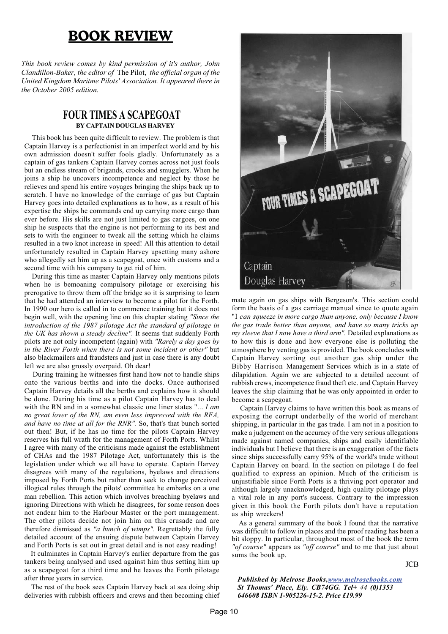### **BOOK REVIEW**

*This book review comes by kind permission of it's author, John Clandillon-Baker, the editor of* The Pilot, *the official organ of the United Kingdom Maritme Pilots' Association. It appeared there in the October 2005 edition.*

#### **FOUR TIMES A SCAPEGOAT BY CAPTAIN DOUGLAS HARVEY**

This book has been quite difficult to review. The problem is that Captain Harvey is a perfectionist in an imperfect world and by his own admission doesn't suffer fools gladly. Unfortunately as a captain of gas tankers Captain Harvey comes across not just fools but an endless stream of brigands, crooks and smugglers. When he joins a ship he uncovers incompetence and neglect by those he relieves and spend his entire voyages bringing the ships back up to scratch. I have no knowledge of the carriage of gas but Captain Harvey goes into detailed explanations as to how, as a result of his expertise the ships he commands end up carrying more cargo than ever before. His skills are not just limited to gas cargoes, on one ship he suspects that the engine is not performing to its best and sets to with the engineer to tweak all the setting which he claims resulted in a two knot increase in speed! All this attention to detail unfortunately resulted in Captain Harvey upsetting many ashore who allegedly set him up as a scapegoat, once with customs and a second time with his company to get rid of him.

During this time as master Captain Harvey only mentions pilots when he is bemoaning compulsory pilotage or exercising his prerogative to throw them off the bridge so it is surprising to learn that he had attended an interview to become a pilot for the Forth. In 1990 our hero is called in to commence training but it does not begin well, with the opening line on this chapter stating *"Since the introduction of the 1987 pilotage Act the standard of pilotage in the UK has shown a steady decline".* It seems that suddenly Forth pilots are not only incompetent (again) with *"Rarely a day goes by in the River Forth when there is not some incident or other"* but also blackmailers and fraudsters and just in case there is any doubt left we are also grossly overpaid. Oh dear!

During training he witnesses first hand how not to handle ships onto the various berths and into the docks. Once authorised Captain Harvey details all the berths and explains how it should be done. During his time as a pilot Captain Harvey has to deal with the RN and in a somewhat classic one liner states "... *I am no great lover of the RN, am even less impressed with the RFA, and have no time at all for the RNR".* So, that's that bunch sorted out then! But, if he has no time for the pilots Captain Harvey reserves his full wrath for the management of Forth Ports. Whilst I agree with many of the criticisms made against the establishment of CHAs and the 1987 Pilotage Act, unfortunately this is the legislation under which we all have to operate. Captain Harvey disagrees with many of the regulations, byelaws and directions imposed by Forth Ports but rather than seek to change perceived illogical rules through the pilots' committee he embarks on a one man rebellion. This action which involves breaching byelaws and ignoring Directions with which he disagrees, for some reason does not endear him to the Harbour Master or the port management. The other pilots decide not join him on this crusade and are therefore dismissed as *"a bunch of wimps".* Regrettably the fully detailed account of the ensuing dispute between Captain Harvey and Forth Ports is set out in great detail and is not easy reading!

It culminates in Captain Harvey's earlier departure from the gas tankers being analysed and used against him thus setting him up as a scapegoat for a third time and he leaves the Forth pilotage after three years in service.

The rest of the book sees Captain Harvey back at sea doing ship deliveries with rubbish officers and crews and then becoming chief



mate again on gas ships with Bergeson's. This section could form the basis of a gas carriage manual since to quote again "I *can squeeze in more cargo than anyone, only because I know the gas trade better than anyone, and have so many tricks up my sleeve that I now have a third arm".* Detailed explanations as to how this is done and how everyone else is polluting the atmosphere by venting gas is provided. The book concludes with Captain Harvey sorting out another gas ship under the Bibby Harrison Management Services which is in a state of dilapidation. Again we are subjected to a detailed account of rubbish crews, incompetence fraud theft etc. and Captain Harvey leaves the ship claiming that he was only appointed in order to become a scapegoat.

Captain Harvey claims to have written this book as means of exposing the corrupt underbelly of the world of merchant shipping, in particular in the gas trade. I am not in a position to make a judgement on the accuracy of the very serious allegations made against named companies, ships and easily identifiable individuals but I believe that there is an exaggeration of the facts since ships successfully carry 95% of the world's trade without Captain Harvey on board. In the section on pilotage I do feel qualified to express an opinion. Much of the criticism is unjustifiable since Forth Ports is a thriving port operator and although largely unacknowledged, high quality pilotage plays a vital role in any port's success. Contrary to the impression given in this book the Forth pilots don't have a reputation as ship wreckers!

As a general summary of the book I found that the narrative was difficult to follow in places and the proof reading has been a bit sloppy. In particular, throughout most of the book the term *"of course"* appears as *"off course"* and to me that just about sums the book up.

JCB

*Published by Melrose Books,www.melrosebooks.com St Thomas' Place, Ely. CB74GG. Tel+ 44 (0)1353 646608 ISBN 1-905226-15-2. Price £19.99*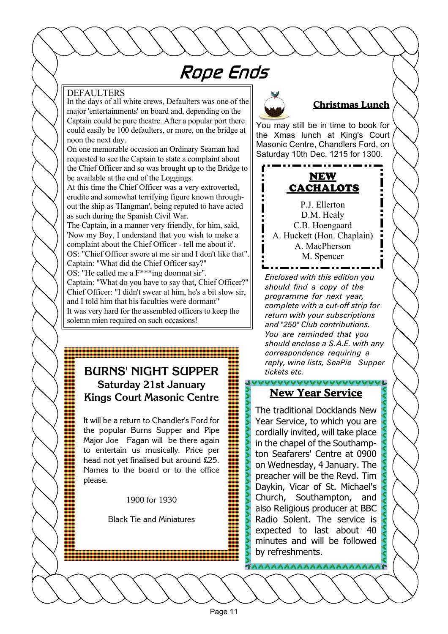## Rope Ends

#### DEFAULTERS

In the days of all white crews, Defaulters was one of the major 'entertainments' on board and, depending on the Captain could be pure theatre. After a popular port there could easily be 100 defaulters, or more, on the bridge at noon the next day.

On one memorable occasion an Ordinary Seaman had requested to see the Captain to state a complaint about the Chief Officer and so was brought up to the Bridge to be available at the end of the Loggings.

At this time the Chief Officer was a very extroverted, erudite and somewhat terrifying figure known throughout the ship as 'Hangman', being reputed to have acted as such during the Spanish Civil War.

The Captain, in a manner very friendly, for him, said, 'Now my Boy, I understand that you wish to make a complaint about the Chief Officer - tell me about it'. OS: "Chief Officer swore at me sir and I don't like that". Captain: "What did the Chief Officer say?" OS: "He called me a F\*\*\*ing doormat sir". Captain: "What do you have to say that, Chief Officer?" Chief Officer: "I didn't swear at him, he's a bit slow sir, and I told him that his faculties were dormant" It was very hard for the assembled officers to keep the solemn mien required on such occasions!

### **BURNS' NIGHT SUPPER Saturday 21st January Kings Court Masonic Centre**

It will be a return to Chandler's Ford for the popular Burns Supper and Pipe Major Joe Fagan will be there again to entertain us musically. Price per head not yet finalised but around £25. Names to the board or to the office please.

1900 for 1930

Black Tie and Miniatures



#### **Christmas Lunch**

You may still be in time to book for the Xmas lunch at King's Court Masonic Centre, Chandlers Ford, on Saturday 10th Dec. 1215 for 1300.



P.J. Ellerton D.M. Healy C.B. Hoengaard A. Huckett (Hon. Chaplain) A. MacPherson M. Spencer

*Enclosed with this edition you should find a copy of the programme for next year, complete with a cut-off strip for return with your subscriptions and "250" Club contributions. You are reminded that you should enclose a S.A.E. with any correspondence requiring a reply, wine lists, SeaPie Supper tickets etc.*

### **New Year Service**

儿

The traditional Docklands New Year Service, to which you are cordially invited, will take place in the chapel of the Southampton Seafarers' Centre at 0900 on Wednesday, 4 January. The preacher will be the Revd. Tim Daykin, Vicar of St. Michael's Church, Southampton, and also Religious producer at BBC Radio Solent. The service is expected to last about 40 minutes and will be followed by refreshments.